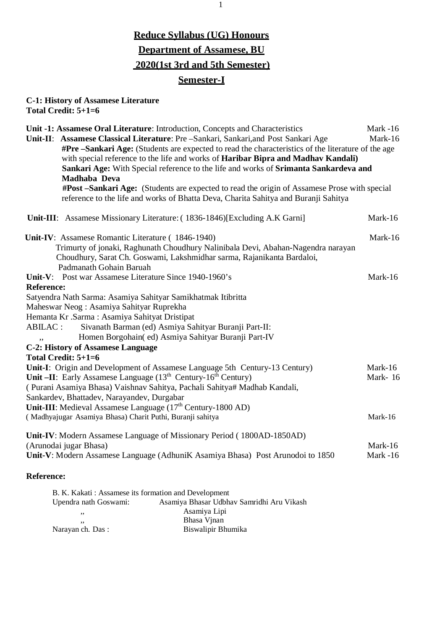## **Reduce Syllabus (UG) Honours Department of Assamese, BU 2020(1st 3rd and 5th Semester) Semester-I**

## **C-1: History of Assamese Literature Total Credit: 5+1=6**

| Unit -1: Assamese Oral Literature: Introduction, Concepts and Characteristics<br>Mark -16          |          |  |  |
|----------------------------------------------------------------------------------------------------|----------|--|--|
| Unit-II: Assamese Classical Literature: Pre - Sankari, Sankari, and Post Sankari Age               |          |  |  |
| #Pre -Sankari Age: (Students are expected to read the characteristics of the literature of the age |          |  |  |
| with special reference to the life and works of Haribar Bipra and Madhav Kandali)                  |          |  |  |
| Sankari Age: With Special reference to the life and works of Srimanta Sankardeva and               |          |  |  |
| Madhaba Deva                                                                                       |          |  |  |
| #Post -Sankari Age: (Students are expected to read the origin of Assamese Prose with special       |          |  |  |
| reference to the life and works of Bhatta Deva, Charita Sahitya and Buranji Sahitya                |          |  |  |
| Unit-III: Assamese Missionary Literature: (1836-1846) [Excluding A.K Garni]                        | Mark-16  |  |  |
| Unit-IV: Assamese Romantic Literature (1846-1940)                                                  | Mark-16  |  |  |
| Trimurty of jonaki, Raghunath Choudhury Nalinibala Devi, Abahan-Nagendra narayan                   |          |  |  |
| Choudhury, Sarat Ch. Goswami, Lakshmidhar sarma, Rajanikanta Bardaloi,                             |          |  |  |
| Padmanath Gohain Baruah                                                                            |          |  |  |
| Unit-V: Post war Assamese Literature Since 1940-1960's                                             | Mark-16  |  |  |
| <b>Reference:</b>                                                                                  |          |  |  |
| Satyendra Nath Sarma: Asamiya Sahityar Samikhatmak Itibritta                                       |          |  |  |
| Maheswar Neog: Asamiya Sahityar Ruprekha                                                           |          |  |  |
| Hemanta Kr .Sarma: Asamiya Sahityat Dristipat                                                      |          |  |  |
| Sivanath Barman (ed) Asmiya Sahityar Buranji Part-II:<br>ABILAC :                                  |          |  |  |
| Homen Borgohain(ed) Asmiya Sahityar Buranji Part-IV<br>,,                                          |          |  |  |
| <b>C-2: History of Assamese Language</b>                                                           |          |  |  |
| Total Credit: 5+1=6                                                                                |          |  |  |
| Unit-I: Origin and Development of Assamese Language 5th Century-13 Century)                        | Mark-16  |  |  |
| Unit -II: Early Assamese Language (13 <sup>th</sup> Century-16 <sup>th</sup> Century)<br>Mark-16   |          |  |  |
| (Purani Asamiya Bhasa) Vaishnav Sahitya, Pachali Sahitya# Madhab Kandali,                          |          |  |  |
| Sankardev, Bhattadev, Narayandev, Durgabar                                                         |          |  |  |
| <b>Unit-III</b> : Medieval Assamese Language $(17th$ Century-1800 AD)                              |          |  |  |
| (Madhyajugar Asamiya Bhasa) Charit Puthi, Buranji sahitya                                          | Mark-16  |  |  |
| Unit-IV: Modern Assamese Language of Missionary Period (1800AD-1850AD)                             |          |  |  |
| (Arunodai jugar Bhasa)                                                                             | Mark-16  |  |  |
| Unit-V: Modern Assamese Language (AdhuniK Asamiya Bhasa) Post Arunodoi to 1850                     | Mark -16 |  |  |
| Reference:                                                                                         |          |  |  |
| B. K. Kakati: Assamese its formation and Development                                               |          |  |  |
| Asamiya Bhasar Udbhav Samridhi Aru Vikash<br>Upendra nath Goswami:                                 |          |  |  |
| Asamiya Lipi<br>,,                                                                                 |          |  |  |
| Bhasa Vinan<br>,,                                                                                  |          |  |  |

Narayan ch. Das : Biswalipir Bhumika

1